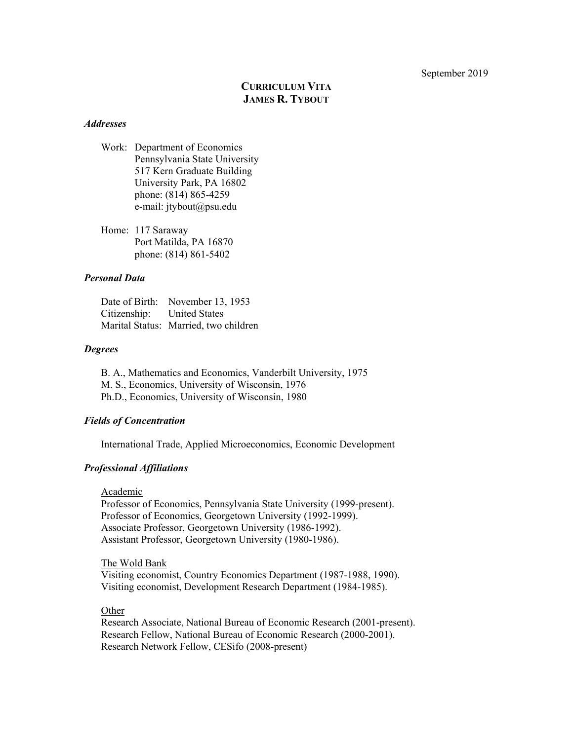September 2019

# **CURRICULUM VITA JAMES R. TYBOUT**

#### *Addresses*

Work: Department of Economics Pennsylvania State University 517 Kern Graduate Building University Park, PA 16802 phone: (814) 865-4259 e-mail: jtybout@psu.edu

Home: 117 Saraway Port Matilda, PA 16870 phone: (814) 861-5402

## *Personal Data*

|                            | Date of Birth: November 13, 1953      |
|----------------------------|---------------------------------------|
| Citizenship: United States |                                       |
|                            | Marital Status: Married, two children |

#### *Degrees*

B. A., Mathematics and Economics, Vanderbilt University, 1975 M. S., Economics, University of Wisconsin, 1976 Ph.D., Economics, University of Wisconsin, 1980

## *Fields of Concentration*

International Trade, Applied Microeconomics, Economic Development

## *Professional Affiliations*

#### Academic

Professor of Economics, Pennsylvania State University (1999-present). Professor of Economics, Georgetown University (1992-1999). Associate Professor, Georgetown University (1986-1992). Assistant Professor, Georgetown University (1980-1986).

#### The Wold Bank

Visiting economist, Country Economics Department (1987-1988, 1990). Visiting economist, Development Research Department (1984-1985).

## **Other**

Research Associate, National Bureau of Economic Research (2001-present). Research Fellow, National Bureau of Economic Research (2000-2001). Research Network Fellow, CESifo (2008-present)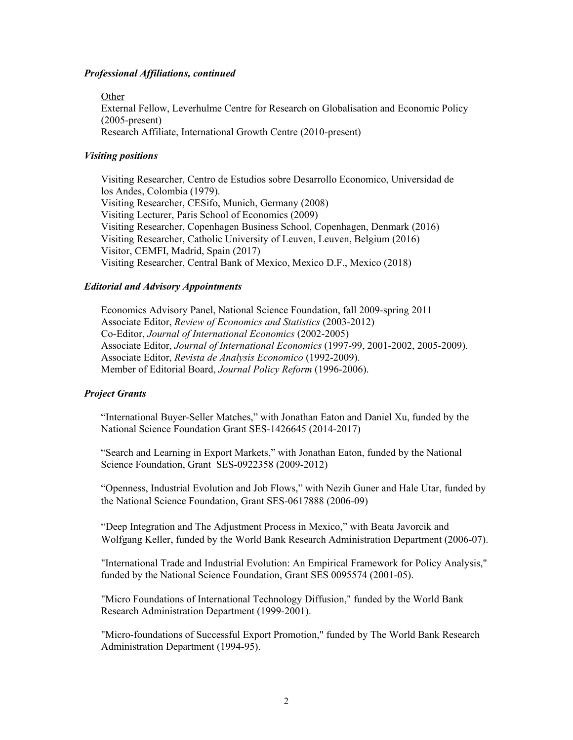#### *Professional Affiliations, continued*

Other

External Fellow, Leverhulme Centre for Research on Globalisation and Economic Policy (2005-present) Research Affiliate, International Growth Centre (2010-present)

## *Visiting positions*

Visiting Researcher, Centro de Estudios sobre Desarrollo Economico, Universidad de los Andes, Colombia (1979). Visiting Researcher, CESifo, Munich, Germany (2008) Visiting Lecturer, Paris School of Economics (2009) Visiting Researcher, Copenhagen Business School, Copenhagen, Denmark (2016) Visiting Researcher, Catholic University of Leuven, Leuven, Belgium (2016) Visitor, CEMFI, Madrid, Spain (2017) Visiting Researcher, Central Bank of Mexico, Mexico D.F., Mexico (2018)

#### *Editorial and Advisory Appointments*

Economics Advisory Panel, National Science Foundation, fall 2009-spring 2011 Associate Editor, *Review of Economics and Statistics* (2003-2012) Co-Editor, *Journal of International Economics* (2002-2005) Associate Editor, *Journal of International Economics* (1997-99, 2001-2002, 2005-2009). Associate Editor, *Revista de Analysis Economico* (1992-2009). Member of Editorial Board, *Journal Policy Reform* (1996-2006).

#### *Project Grants*

"International Buyer-Seller Matches," with Jonathan Eaton and Daniel Xu, funded by the National Science Foundation Grant SES-1426645 (2014-2017)

"Search and Learning in Export Markets," with Jonathan Eaton, funded by the National Science Foundation, Grant SES-0922358 (2009-2012)

"Openness, Industrial Evolution and Job Flows," with Nezih Guner and Hale Utar, funded by the National Science Foundation, Grant SES-0617888 (2006-09)

"Deep Integration and The Adjustment Process in Mexico," with Beata Javorcik and Wolfgang Keller, funded by the World Bank Research Administration Department (2006-07).

"International Trade and Industrial Evolution: An Empirical Framework for Policy Analysis," funded by the National Science Foundation, Grant SES 0095574 (2001-05).

"Micro Foundations of International Technology Diffusion," funded by the World Bank Research Administration Department (1999-2001).

"Micro-foundations of Successful Export Promotion," funded by The World Bank Research Administration Department (1994-95).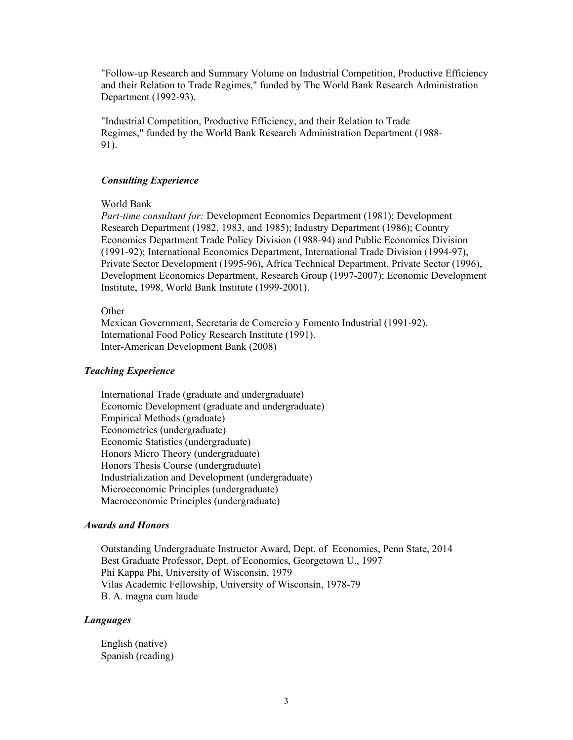"Follow-up Research and Summary Volume on Industrial Competition, Productive Efficiency and their Relation to Trade Regimes," funded by The World Bank Research Administration Department (1992-93).

"Industrial Competition, Productive Efficiency, and their Relation to Trade Regimes," funded by the World Bank Research Administration Department (1988- 91).

## *Consulting Experience*

#### World Bank

*Part-time consultant for:* Development Economics Department (1981); Development Research Department (1982, 1983, and 1985); Industry Department (1986); Country Economics Department Trade Policy Division (1988-94) and Public Economics Division (1991-92); International Economics Department, International Trade Division (1994-97), Private Sector Development (1995-96), Africa Technical Department, Private Sector (1996), Development Economics Department, Research Group (1997-2007); Economic Development Institute, 1998, World Bank Institute (1999-2001).

#### **Other**

Mexican Government, Secretaria de Comercio y Fomento Industrial (1991-92). International Food Policy Research Institute (1991). Inter-American Development Bank (2008)

## *Teaching Experience*

International Trade (graduate and undergraduate) Economic Development (graduate and undergraduate) Empirical Methods (graduate) Econometrics (undergraduate) Economic Statistics (undergraduate) Honors Micro Theory (undergraduate) Honors Thesis Course (undergraduate) Industrialization and Development (undergraduate) Microeconomic Principles (undergraduate) Macroeconomic Principles (undergraduate)

#### *Awards and Honors*

Outstanding Undergraduate Instructor Award, Dept. of Economics, Penn State, 2014 Best Graduate Professor, Dept. of Economics, Georgetown U., 1997 Phi Kappa Phi, University of Wisconsin, 1979 Vilas Academic Fellowship, University of Wisconsin, 1978-79 B. A. magna cum laude

#### *Languages*

English (native) Spanish (reading)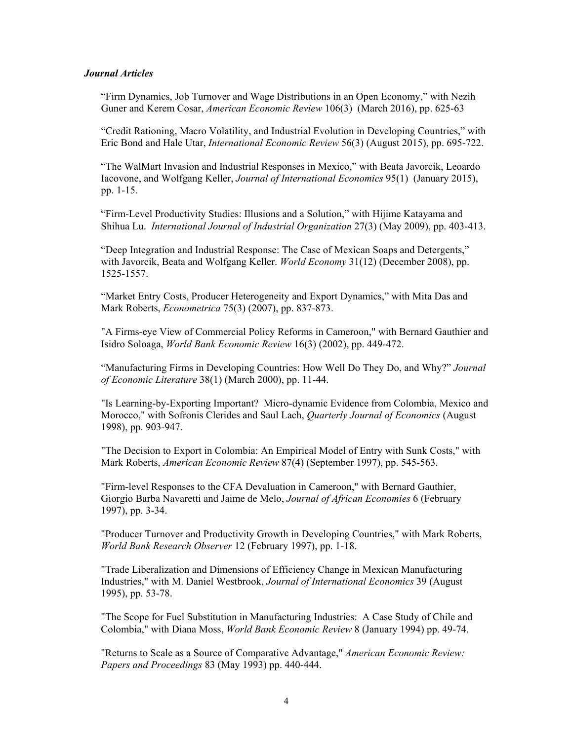#### *Journal Articles*

"Firm Dynamics, Job Turnover and Wage Distributions in an Open Economy," with Nezih Guner and Kerem Cosar, *American Economic Review* 106(3) (March 2016), pp. 625-63

"Credit Rationing, Macro Volatility, and Industrial Evolution in Developing Countries," with Eric Bond and Hale Utar, *International Economic Review* 56(3) (August 2015), pp. 695-722.

"The WalMart Invasion and Industrial Responses in Mexico," with Beata Javorcik, Leoardo Iacovone, and Wolfgang Keller, *Journal of International Economics* 95(1) (January 2015), pp. 1-15.

"Firm-Level Productivity Studies: Illusions and a Solution," with Hijime Katayama and Shihua Lu. *International Journal of Industrial Organization* 27(3) (May 2009), pp. 403-413.

"Deep Integration and Industrial Response: The Case of Mexican Soaps and Detergents," with Javorcik, Beata and Wolfgang Keller. *World Economy* 31(12) (December 2008), pp. 1525-1557.

"Market Entry Costs, Producer Heterogeneity and Export Dynamics," with Mita Das and Mark Roberts, *Econometrica* 75(3) (2007), pp. 837-873.

"A Firms-eye View of Commercial Policy Reforms in Cameroon," with Bernard Gauthier and Isidro Soloaga, *World Bank Economic Review* 16(3) (2002), pp. 449-472.

"Manufacturing Firms in Developing Countries: How Well Do They Do, and Why?" *Journal of Economic Literature* 38(1) (March 2000), pp. 11-44.

"Is Learning-by-Exporting Important? Micro-dynamic Evidence from Colombia, Mexico and Morocco," with Sofronis Clerides and Saul Lach, *Quarterly Journal of Economics* (August 1998), pp. 903-947.

"The Decision to Export in Colombia: An Empirical Model of Entry with Sunk Costs," with Mark Roberts, *American Economic Review* 87(4) (September 1997), pp. 545-563.

"Firm-level Responses to the CFA Devaluation in Cameroon," with Bernard Gauthier, Giorgio Barba Navaretti and Jaime de Melo, *Journal of African Economies* 6 (February 1997), pp. 3-34.

"Producer Turnover and Productivity Growth in Developing Countries," with Mark Roberts, *World Bank Research Observer* 12 (February 1997), pp. 1-18.

"Trade Liberalization and Dimensions of Efficiency Change in Mexican Manufacturing Industries," with M. Daniel Westbrook, *Journal of International Economics* 39 (August 1995), pp. 53-78.

"The Scope for Fuel Substitution in Manufacturing Industries: A Case Study of Chile and Colombia," with Diana Moss, *World Bank Economic Review* 8 (January 1994) pp. 49-74.

"Returns to Scale as a Source of Comparative Advantage," *American Economic Review: Papers and Proceedings* 83 (May 1993) pp. 440-444.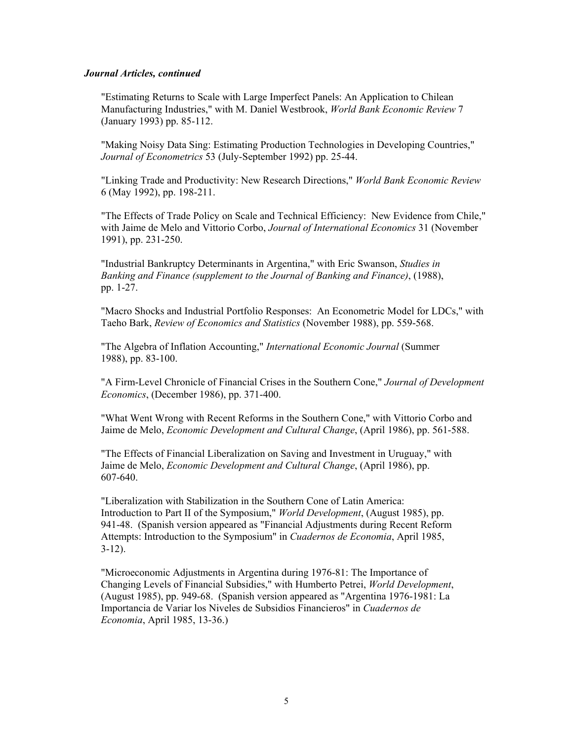## *Journal Articles, continued*

"Estimating Returns to Scale with Large Imperfect Panels: An Application to Chilean Manufacturing Industries," with M. Daniel Westbrook, *World Bank Economic Review* 7 (January 1993) pp. 85-112.

"Making Noisy Data Sing: Estimating Production Technologies in Developing Countries," *Journal of Econometrics* 53 (July-September 1992) pp. 25-44.

"Linking Trade and Productivity: New Research Directions," *World Bank Economic Review* 6 (May 1992), pp. 198-211.

"The Effects of Trade Policy on Scale and Technical Efficiency: New Evidence from Chile," with Jaime de Melo and Vittorio Corbo, *Journal of International Economics* 31 (November 1991), pp. 231-250.

"Industrial Bankruptcy Determinants in Argentina," with Eric Swanson, *Studies in Banking and Finance (supplement to the Journal of Banking and Finance)*, (1988), pp. 1-27.

"Macro Shocks and Industrial Portfolio Responses: An Econometric Model for LDCs," with Taeho Bark, *Review of Economics and Statistics* (November 1988), pp. 559-568.

"The Algebra of Inflation Accounting," *International Economic Journal* (Summer 1988), pp. 83-100.

"A Firm-Level Chronicle of Financial Crises in the Southern Cone," *Journal of Development Economics*, (December 1986), pp. 371-400.

"What Went Wrong with Recent Reforms in the Southern Cone," with Vittorio Corbo and Jaime de Melo, *Economic Development and Cultural Change*, (April 1986), pp. 561-588.

"The Effects of Financial Liberalization on Saving and Investment in Uruguay," with Jaime de Melo, *Economic Development and Cultural Change*, (April 1986), pp. 607-640.

"Liberalization with Stabilization in the Southern Cone of Latin America: Introduction to Part II of the Symposium," *World Development*, (August 1985), pp. 941-48. (Spanish version appeared as "Financial Adjustments during Recent Reform Attempts: Introduction to the Symposium" in *Cuadernos de Economia*, April 1985, 3-12).

"Microeconomic Adjustments in Argentina during 1976-81: The Importance of Changing Levels of Financial Subsidies," with Humberto Petrei, *World Development*, (August 1985), pp. 949-68. (Spanish version appeared as "Argentina 1976-1981: La Importancia de Variar los Niveles de Subsidios Financieros" in *Cuadernos de Economia*, April 1985, 13-36.)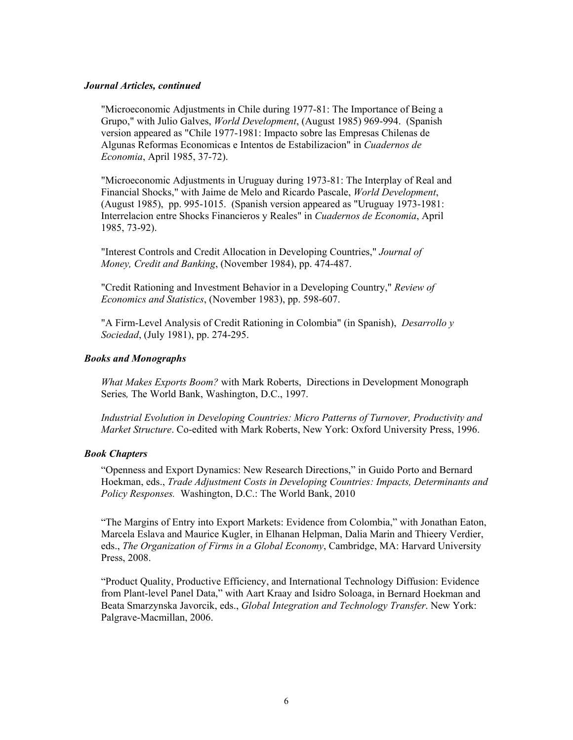## *Journal Articles, continued*

"Microeconomic Adjustments in Chile during 1977-81: The Importance of Being a Grupo," with Julio Galves, *World Development*, (August 1985) 969-994. (Spanish version appeared as "Chile 1977-1981: Impacto sobre las Empresas Chilenas de Algunas Reformas Economicas e Intentos de Estabilizacion" in *Cuadernos de Economia*, April 1985, 37-72).

"Microeconomic Adjustments in Uruguay during 1973-81: The Interplay of Real and Financial Shocks," with Jaime de Melo and Ricardo Pascale, *World Development*, (August 1985), pp. 995-1015. (Spanish version appeared as "Uruguay 1973-1981: Interrelacion entre Shocks Financieros y Reales" in *Cuadernos de Economia*, April 1985, 73-92).

"Interest Controls and Credit Allocation in Developing Countries," *Journal of Money, Credit and Banking*, (November 1984), pp. 474-487.

"Credit Rationing and Investment Behavior in a Developing Country," *Review of Economics and Statistics*, (November 1983), pp. 598-607.

"A Firm-Level Analysis of Credit Rationing in Colombia" (in Spanish), *Desarrollo y Sociedad*, (July 1981), pp. 274-295.

## *Books and Monographs*

*What Makes Exports Boom?* with Mark Roberts, Directions in Development Monograph Series*,* The World Bank, Washington, D.C., 1997.

*Industrial Evolution in Developing Countries: Micro Patterns of Turnover, Productivity and Market Structure*. Co-edited with Mark Roberts, New York: Oxford University Press, 1996.

## *Book Chapters*

"Openness and Export Dynamics: New Research Directions," in Guido Porto and Bernard Hoekman, eds., *Trade Adjustment Costs in Developing Countries: Impacts, Determinants and Policy Responses.* Washington, D.C.: The World Bank, 2010

"The Margins of Entry into Export Markets: Evidence from Colombia," with Jonathan Eaton, Marcela Eslava and Maurice Kugler, in Elhanan Helpman, Dalia Marin and Thieery Verdier, eds., *The Organization of Firms in a Global Economy*, Cambridge, MA: Harvard University Press, 2008.

"Product Quality, Productive Efficiency, and International Technology Diffusion: Evidence from Plant-level Panel Data," with Aart Kraay and Isidro Soloaga, in Bernard Hoekman and Beata Smarzynska Javorcik, eds., *Global Integration and Technology Transfer*. New York: Palgrave-Macmillan, 2006.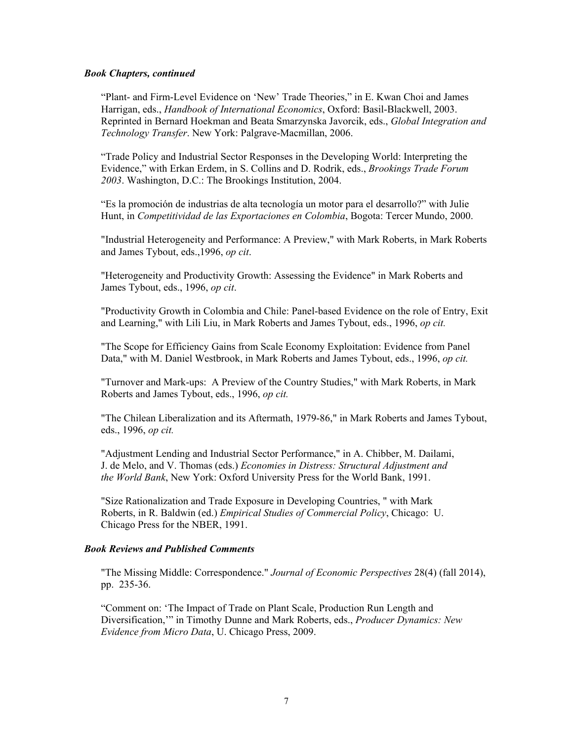#### *Book Chapters, continued*

"Plant- and Firm-Level Evidence on 'New' Trade Theories," in E. Kwan Choi and James Harrigan, eds., *Handbook of International Economics*, Oxford: Basil-Blackwell, 2003. Reprinted in Bernard Hoekman and Beata Smarzynska Javorcik, eds., *Global Integration and Technology Transfer*. New York: Palgrave-Macmillan, 2006.

"Trade Policy and Industrial Sector Responses in the Developing World: Interpreting the Evidence," with Erkan Erdem, in S. Collins and D. Rodrik, eds., *Brookings Trade Forum 2003*. Washington, D.C.: The Brookings Institution, 2004.

"Es la promoción de industrias de alta tecnología un motor para el desarrollo?" with Julie Hunt, in *Competitividad de las Exportaciones en Colombia*, Bogota: Tercer Mundo, 2000.

"Industrial Heterogeneity and Performance: A Preview," with Mark Roberts, in Mark Roberts and James Tybout, eds.,1996, *op cit*.

"Heterogeneity and Productivity Growth: Assessing the Evidence" in Mark Roberts and James Tybout, eds., 1996, *op cit*.

"Productivity Growth in Colombia and Chile: Panel-based Evidence on the role of Entry, Exit and Learning," with Lili Liu, in Mark Roberts and James Tybout, eds., 1996, *op cit.*

"The Scope for Efficiency Gains from Scale Economy Exploitation: Evidence from Panel Data," with M. Daniel Westbrook, in Mark Roberts and James Tybout, eds., 1996, *op cit.*

"Turnover and Mark-ups: A Preview of the Country Studies," with Mark Roberts, in Mark Roberts and James Tybout, eds., 1996, *op cit.*

"The Chilean Liberalization and its Aftermath, 1979-86," in Mark Roberts and James Tybout, eds., 1996, *op cit.*

"Adjustment Lending and Industrial Sector Performance," in A. Chibber, M. Dailami, J. de Melo, and V. Thomas (eds.) *Economies in Distress: Structural Adjustment and the World Bank*, New York: Oxford University Press for the World Bank, 1991.

"Size Rationalization and Trade Exposure in Developing Countries, " with Mark Roberts, in R. Baldwin (ed.) *Empirical Studies of Commercial Policy*, Chicago: U. Chicago Press for the NBER, 1991.

#### *Book Reviews and Published Comments*

"The Missing Middle: Correspondence." *Journal of Economic Perspectives* 28(4) (fall 2014), pp. 235-36.

"Comment on: 'The Impact of Trade on Plant Scale, Production Run Length and Diversification,'" in Timothy Dunne and Mark Roberts, eds., *Producer Dynamics: New Evidence from Micro Data*, U. Chicago Press, 2009.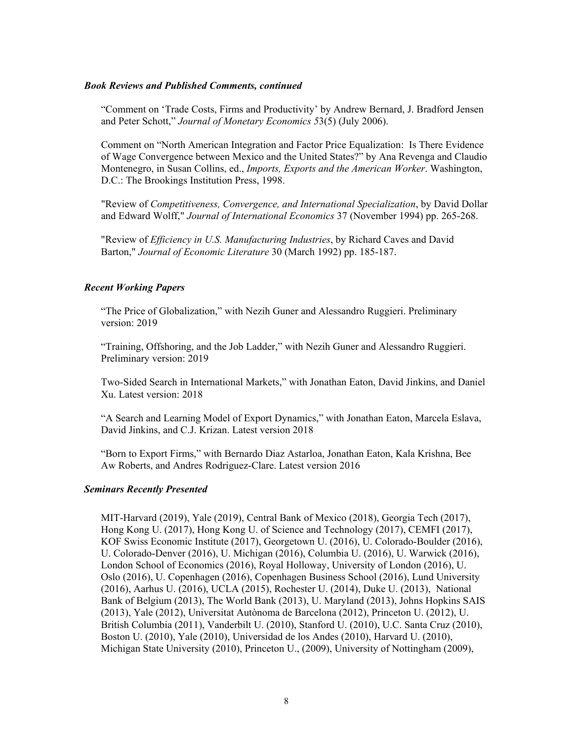## *Book Reviews and Published Comments, continued*

"Comment on 'Trade Costs, Firms and Productivity' by Andrew Bernard, J. Bradford Jensen and Peter Schott," *Journal of Monetary Economics 5*3(5) (July 2006).

Comment on "North American Integration and Factor Price Equalization: Is There Evidence of Wage Convergence between Mexico and the United States?" by Ana Revenga and Claudio Montenegro, in Susan Collins, ed., *Imports, Exports and the American Worker*. Washington, D.C.: The Brookings Institution Press, 1998.

"Review of *Competitiveness, Convergence, and International Specialization*, by David Dollar and Edward Wolff," *Journal of International Economics* 37 (November 1994) pp. 265-268.

"Review of *Efficiency in U.S. Manufacturing Industries*, by Richard Caves and David Barton," *Journal of Economic Literature* 30 (March 1992) pp. 185-187.

## *Recent Working Papers*

"The Price of Globalization," with Nezih Guner and Alessandro Ruggieri. Preliminary version: 2019

"Training, Offshoring, and the Job Ladder," with Nezih Guner and Alessandro Ruggieri. Preliminary version: 2019

Two-Sided Search in International Markets," with Jonathan Eaton, David Jinkins, and Daniel Xu. Latest version: 2018

"A Search and Learning Model of Export Dynamics," with Jonathan Eaton, Marcela Eslava, David Jinkins, and C.J. Krizan. Latest version 2018

"Born to Export Firms," with Bernardo Diaz Astarloa, Jonathan Eaton, Kala Krishna, Bee Aw Roberts, and Andres Rodriguez-Clare. Latest version 2016

## *Seminars Recently Presented*

MIT-Harvard (2019), Yale (2019), Central Bank of Mexico (2018), Georgia Tech (2017), Hong Kong U. (2017), Hong Kong U. of Science and Technology (2017), CEMFI (2017), KOF Swiss Economic Institute (2017), Georgetown U. (2016), U. Colorado-Boulder (2016), U. Colorado-Denver (2016), U. Michigan (2016), Columbia U. (2016), U. Warwick (2016), London School of Economics (2016), Royal Holloway, University of London (2016), U. Oslo (2016), U. Copenhagen (2016), Copenhagen Business School (2016), Lund University (2016), Aarhus U. (2016), UCLA (2015), Rochester U. (2014), Duke U. (2013), National Bank of Belgium (2013), The World Bank (2013), U. Maryland (2013), Johns Hopkins SAIS (2013), Yale (2012), Universitat Autònoma de Barcelona (2012), Princeton U. (2012), U. British Columbia (2011), Vanderbilt U. (2010), Stanford U. (2010), U.C. Santa Cruz (2010), Boston U. (2010), Yale (2010), Universidad de los Andes (2010), Harvard U. (2010), Michigan State University (2010), Princeton U., (2009), University of Nottingham (2009),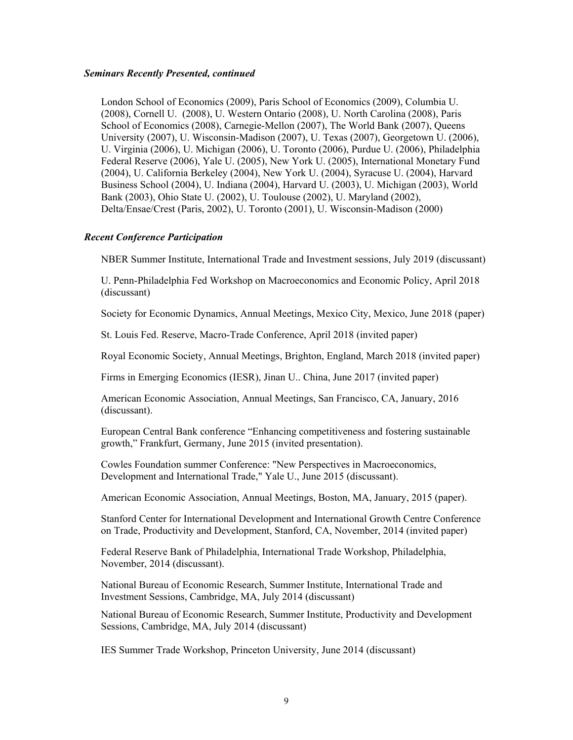#### *Seminars Recently Presented, continued*

London School of Economics (2009), Paris School of Economics (2009), Columbia U. (2008), Cornell U. (2008), U. Western Ontario (2008), U. North Carolina (2008), Paris School of Economics (2008), Carnegie-Mellon (2007), The World Bank (2007), Queens University (2007), U. Wisconsin-Madison (2007), U. Texas (2007), Georgetown U. (2006), U. Virginia (2006), U. Michigan (2006), U. Toronto (2006), Purdue U. (2006), Philadelphia Federal Reserve (2006), Yale U. (2005), New York U. (2005), International Monetary Fund (2004), U. California Berkeley (2004), New York U. (2004), Syracuse U. (2004), Harvard Business School (2004), U. Indiana (2004), Harvard U. (2003), U. Michigan (2003), World Bank (2003), Ohio State U. (2002), U. Toulouse (2002), U. Maryland (2002), Delta/Ensae/Crest (Paris, 2002), U. Toronto (2001), U. Wisconsin-Madison (2000)

## *Recent Conference Participation*

NBER Summer Institute, International Trade and Investment sessions, July 2019 (discussant)

U. Penn-Philadelphia Fed Workshop on Macroeconomics and Economic Policy, April 2018 (discussant)

Society for Economic Dynamics, Annual Meetings, Mexico City, Mexico, June 2018 (paper)

St. Louis Fed. Reserve, Macro-Trade Conference, April 2018 (invited paper)

Royal Economic Society, Annual Meetings, Brighton, England, March 2018 (invited paper)

Firms in Emerging Economics (IESR), Jinan U.. China, June 2017 (invited paper)

American Economic Association, Annual Meetings, San Francisco, CA, January, 2016 (discussant).

European Central Bank conference "Enhancing competitiveness and fostering sustainable growth," Frankfurt, Germany, June 2015 (invited presentation).

Cowles Foundation summer Conference: "New Perspectives in Macroeconomics, Development and International Trade," Yale U., June 2015 (discussant).

American Economic Association, Annual Meetings, Boston, MA, January, 2015 (paper).

Stanford Center for International Development and International Growth Centre Conference on Trade, Productivity and Development, Stanford, CA, November, 2014 (invited paper)

Federal Reserve Bank of Philadelphia, International Trade Workshop, Philadelphia, November, 2014 (discussant).

National Bureau of Economic Research, Summer Institute, International Trade and Investment Sessions, Cambridge, MA, July 2014 (discussant)

National Bureau of Economic Research, Summer Institute, Productivity and Development Sessions, Cambridge, MA, July 2014 (discussant)

IES Summer Trade Workshop, Princeton University, June 2014 (discussant)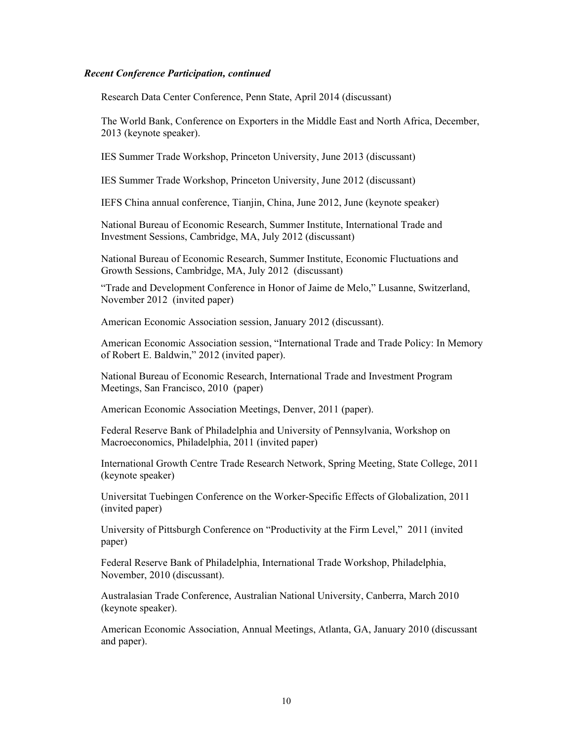Research Data Center Conference, Penn State, April 2014 (discussant)

The World Bank, Conference on Exporters in the Middle East and North Africa, December, 2013 (keynote speaker).

IES Summer Trade Workshop, Princeton University, June 2013 (discussant)

IES Summer Trade Workshop, Princeton University, June 2012 (discussant)

IEFS China annual conference, Tianjin, China, June 2012, June (keynote speaker)

National Bureau of Economic Research, Summer Institute, International Trade and Investment Sessions, Cambridge, MA, July 2012 (discussant)

National Bureau of Economic Research, Summer Institute, Economic Fluctuations and Growth Sessions, Cambridge, MA, July 2012 (discussant)

"Trade and Development Conference in Honor of Jaime de Melo," Lusanne, Switzerland, November 2012 (invited paper)

American Economic Association session, January 2012 (discussant).

American Economic Association session, "International Trade and Trade Policy: In Memory of Robert E. Baldwin," 2012 (invited paper).

National Bureau of Economic Research, International Trade and Investment Program Meetings, San Francisco, 2010 (paper)

American Economic Association Meetings, Denver, 2011 (paper).

Federal Reserve Bank of Philadelphia and University of Pennsylvania, Workshop on Macroeconomics, Philadelphia, 2011 (invited paper)

International Growth Centre Trade Research Network, Spring Meeting, State College, 2011 (keynote speaker)

Universitat Tuebingen Conference on the Worker-Specific Effects of Globalization, 2011 (invited paper)

University of Pittsburgh Conference on "Productivity at the Firm Level," 2011 (invited paper)

Federal Reserve Bank of Philadelphia, International Trade Workshop, Philadelphia, November, 2010 (discussant).

Australasian Trade Conference, Australian National University, Canberra, March 2010 (keynote speaker).

American Economic Association, Annual Meetings, Atlanta, GA, January 2010 (discussant and paper).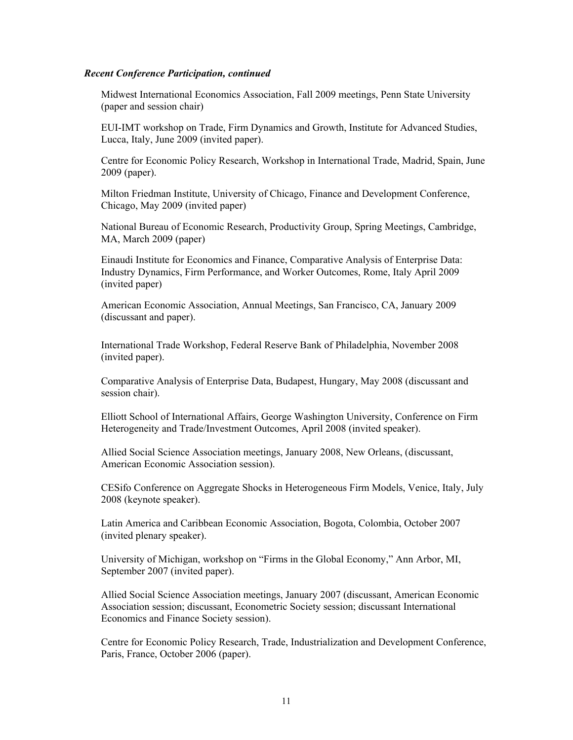Midwest International Economics Association, Fall 2009 meetings, Penn State University (paper and session chair)

EUI-IMT workshop on Trade, Firm Dynamics and Growth, Institute for Advanced Studies, Lucca, Italy, June 2009 (invited paper).

Centre for Economic Policy Research, Workshop in International Trade, Madrid, Spain, June 2009 (paper).

Milton Friedman Institute, University of Chicago, Finance and Development Conference, Chicago, May 2009 (invited paper)

National Bureau of Economic Research, Productivity Group, Spring Meetings, Cambridge, MA, March 2009 (paper)

Einaudi Institute for Economics and Finance, Comparative Analysis of Enterprise Data: Industry Dynamics, Firm Performance, and Worker Outcomes, Rome, Italy April 2009 (invited paper)

American Economic Association, Annual Meetings, San Francisco, CA, January 2009 (discussant and paper).

International Trade Workshop, Federal Reserve Bank of Philadelphia, November 2008 (invited paper).

Comparative Analysis of Enterprise Data, Budapest, Hungary, May 2008 (discussant and session chair).

Elliott School of International Affairs, George Washington University, Conference on Firm Heterogeneity and Trade/Investment Outcomes, April 2008 (invited speaker).

Allied Social Science Association meetings, January 2008, New Orleans, (discussant, American Economic Association session).

CESifo Conference on Aggregate Shocks in Heterogeneous Firm Models, Venice, Italy, July 2008 (keynote speaker).

Latin America and Caribbean Economic Association, Bogota, Colombia, October 2007 (invited plenary speaker).

University of Michigan, workshop on "Firms in the Global Economy," Ann Arbor, MI, September 2007 (invited paper).

Allied Social Science Association meetings, January 2007 (discussant, American Economic Association session; discussant, Econometric Society session; discussant International Economics and Finance Society session).

Centre for Economic Policy Research, Trade, Industrialization and Development Conference, Paris, France, October 2006 (paper).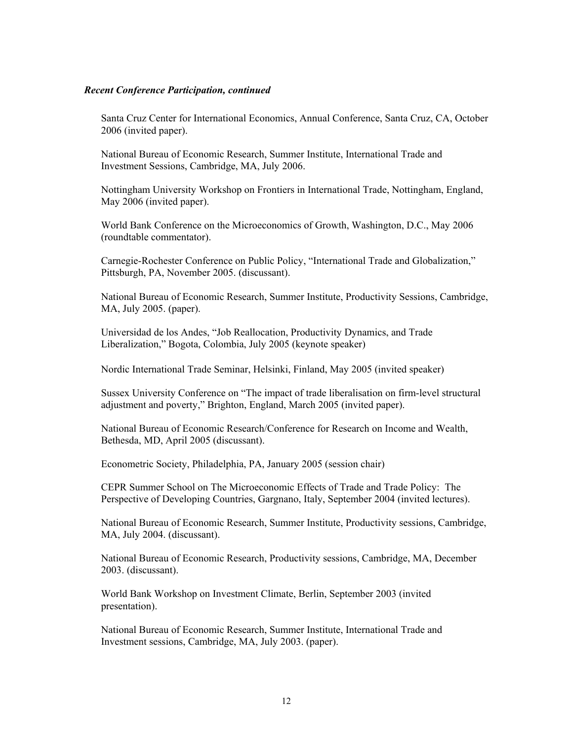Santa Cruz Center for International Economics, Annual Conference, Santa Cruz, CA, October 2006 (invited paper).

National Bureau of Economic Research, Summer Institute, International Trade and Investment Sessions, Cambridge, MA, July 2006.

Nottingham University Workshop on Frontiers in International Trade, Nottingham, England, May 2006 (invited paper).

World Bank Conference on the Microeconomics of Growth, Washington, D.C., May 2006 (roundtable commentator).

Carnegie-Rochester Conference on Public Policy, "International Trade and Globalization," Pittsburgh, PA, November 2005. (discussant).

National Bureau of Economic Research, Summer Institute, Productivity Sessions, Cambridge, MA, July 2005. (paper).

Universidad de los Andes, "Job Reallocation, Productivity Dynamics, and Trade Liberalization," Bogota, Colombia, July 2005 (keynote speaker)

Nordic International Trade Seminar, Helsinki, Finland, May 2005 (invited speaker)

Sussex University Conference on "The impact of trade liberalisation on firm-level structural adjustment and poverty," Brighton, England, March 2005 (invited paper).

National Bureau of Economic Research/Conference for Research on Income and Wealth, Bethesda, MD, April 2005 (discussant).

Econometric Society, Philadelphia, PA, January 2005 (session chair)

CEPR Summer School on The Microeconomic Effects of Trade and Trade Policy: The Perspective of Developing Countries, Gargnano, Italy, September 2004 (invited lectures).

National Bureau of Economic Research, Summer Institute, Productivity sessions, Cambridge, MA, July 2004. (discussant).

National Bureau of Economic Research, Productivity sessions, Cambridge, MA, December 2003. (discussant).

World Bank Workshop on Investment Climate, Berlin, September 2003 (invited presentation).

National Bureau of Economic Research, Summer Institute, International Trade and Investment sessions, Cambridge, MA, July 2003. (paper).